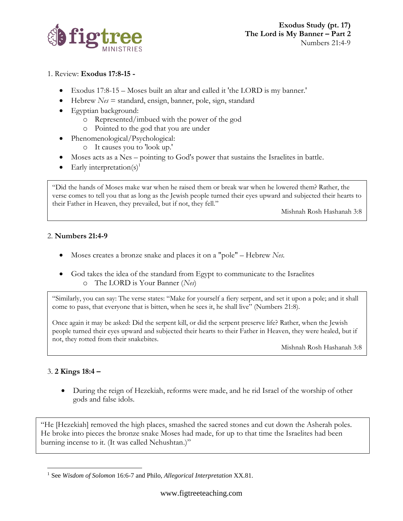

### 1. Review: **Exodus 17:8-15 -**

- Exodus 17:8-15 Moses built an altar and called it 'the LORD is my banner.'
- Hebrew *Nes* = standard, ensign, banner, pole, sign, standard
- Egyptian background:
	- o Represented/imbued with the power of the god
	- o Pointed to the god that you are under
- Phenomenological/Psychological:
	- o It causes you to 'look up.'
- Moses acts as a Nes pointing to God's power that sustains the Israelites in battle.
- Early interpretation(s)<sup>1</sup>

"Did the hands of Moses make war when he raised them or break war when he lowered them? Rather, the verse comes to tell you that as long as the Jewish people turned their eyes upward and subjected their hearts to their Father in Heaven, they prevailed, but if not, they fell."

Mishnah Rosh Hashanah 3:8

#### 2. **Numbers 21:4-9**

- Moses creates a bronze snake and places it on a "pole" Hebrew *Nes.*
- God takes the idea of the standard from Egypt to communicate to the Israelites o The LORD is Your Banner (*Nes*)

"Similarly, you can say: The verse states: "Make for yourself a fiery serpent, and set it upon a pole; and it shall come to pass, that everyone that is bitten, when he sees it, he shall live" (Numbers 21:8).

Once again it may be asked: Did the serpent kill, or did the serpent preserve life? Rather, when the Jewish people turned their eyes upward and subjected their hearts to their Father in Heaven, they were healed, but if not, they rotted from their snakebites.

Mishnah Rosh Hashanah 3:8

# 3. **2 Kings 18:4 –**

• During the reign of Hezekiah, reforms were made, and he rid Israel of the worship of other gods and false idols.

"He [Hezekiah] removed the high places, smashed the sacred stones and cut down the Asherah poles. He broke into pieces the bronze snake Moses had made, for up to that time the Israelites had been burning incense to it. (It was called Nehushtan.)"

<sup>1</sup> See *Wisdom of Solomon* 16:6-7 and Philo, *Allegorical Interpretation* XX.81.